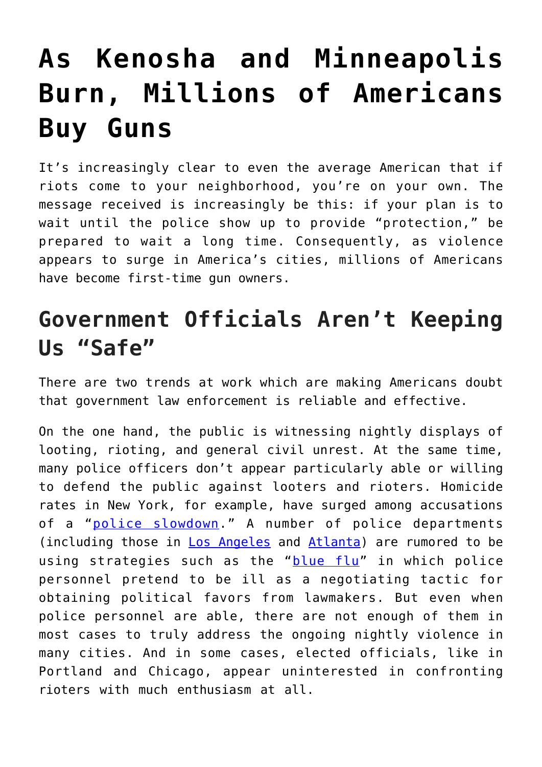## **[As Kenosha and Minneapolis](https://intellectualtakeout.org/2020/09/as-kenosha-and-minneapolis-burn-millions-of-americans-buy-guns/) [Burn, Millions of Americans](https://intellectualtakeout.org/2020/09/as-kenosha-and-minneapolis-burn-millions-of-americans-buy-guns/) [Buy Guns](https://intellectualtakeout.org/2020/09/as-kenosha-and-minneapolis-burn-millions-of-americans-buy-guns/)**

It's increasingly clear to even the average American that if riots come to your neighborhood, you're on your own. The message received is increasingly be this: if your plan is to wait until the police show up to provide "protection," be prepared to wait a long time. Consequently, as violence appears to surge in America's cities, millions of Americans have become first-time gun owners.

## **Government Officials Aren't Keeping Us "Safe"**

There are two trends at work which are making Americans doubt that government law enforcement is reliable and effective.

On the one hand, the public is witnessing nightly displays of looting, rioting, and general civil unrest. At the same time, many police officers don't appear particularly able or willing to defend the public against looters and rioters. Homicide rates in New York, for example, have surged among accusations of a "[police slowdown](https://www.nbcnewyork.com/news/local/man-shot-in-middle-of-time-square-police/2593667/)." A number of police departments (including those in [Los Angeles](https://www.latimes.com/california/story/2020-07-07/lapd-investigates-blue-flu-claims-after-officers-call-in-sick-over-july-4-holiday) and [Atlanta](https://coffeeordie.com/inside-blue-flu/)) are rumored to be using strategies such as the "[blue flu](https://webcache.googleusercontent.com/search?q=cache:whxDI6aV67gJ:https://www.washingtonpost.com/outlook/2020/07/01/what-is-blue-flu-how-has-it-increased-police-power/+&cd=11&hl=en&ct=clnk&gl=us&client=firefox-b-1-d)" in which police personnel pretend to be ill as a negotiating tactic for obtaining political favors from lawmakers. But even when police personnel are able, there are not enough of them in most cases to truly address the ongoing nightly violence in many cities. And in some cases, elected officials, like in Portland and Chicago, appear uninterested in confronting rioters with much enthusiasm at all.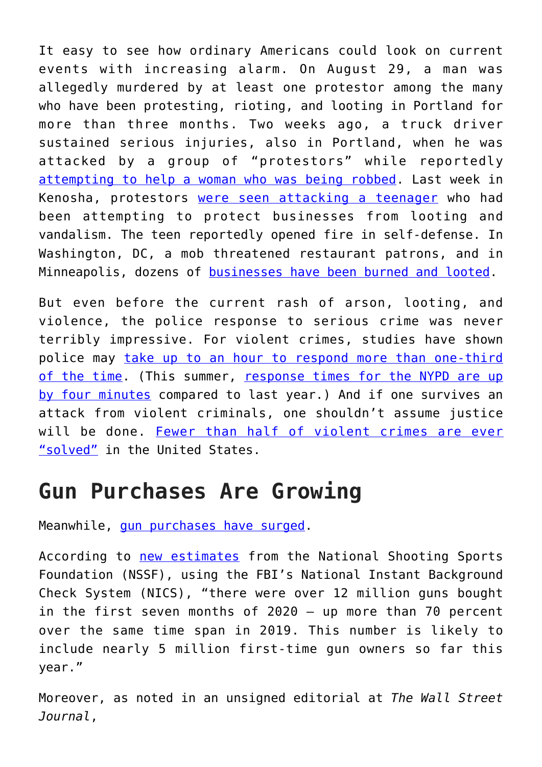It easy to see how ordinary Americans could look on current events with increasing alarm. On August 29, a man was allegedly murdered by at least one protestor among the many who have been protesting, rioting, and looting in Portland for more than three months. Two weeks ago, a truck driver sustained serious injuries, also in Portland, when he was attacked by a group of "protestors" while reportedly [attempting to help a woman who was being robbed.](https://www.dailymail.co.uk/news/article-8640835/Police-identify-suspect-vicious-attack-driver-kicked-unconscious-Portland.html) Last week in Kenosha, protestors [were seen attacking a teenager](https://thehill.com/hilltv/rising/513992-daily-caller-videographer-on-his-interview-with-alleged-kenosha-shooter) who had been attempting to protect businesses from looting and vandalism. The teen reportedly opened fire in self-defense. In Washington, DC, a mob threatened restaurant patrons, and in Minneapolis, dozens of [businesses have been burned and looted](https://bringmethenews.com/minnesota-news/a-list-of-the-buildings-damaged-looted-in-minneapolis-and-st-paul).

But even before the current rash of arson, looting, and violence, the police response to serious crime was never terribly impressive. For violent crimes, studies have shown police may [take up to an hour to respond more than one-third](https://www.bjs.gov/content/pub/pdf/cvus08.pdf) [of the time.](https://www.bjs.gov/content/pub/pdf/cvus08.pdf) (This summer, [response times for the NYPD are up](https://www.ny1.com/nyc/all-boroughs/news/2020/08/25/nypd-response-times-climb-this-summer-) [by four minutes](https://www.ny1.com/nyc/all-boroughs/news/2020/08/25/nypd-response-times-climb-this-summer-) compared to last year.) And if one survives an attack from violent criminals, one shouldn't assume justice will be done. [Fewer than half of violent crimes are ever](https://mises.org/wire/fewer-half-violent-crimes-are-solved-america) ["solved"](https://mises.org/wire/fewer-half-violent-crimes-are-solved-america) in the United States.

## **Gun Purchases Are Growing**

Meanwhile, [gun purchases have surged](https://www.thetrace.org/features/gun-sales-estimates/).

According to [new estimates](http://www.nationalreview.com/corner/five-million-americans-became-first-time-gun-owners-in-2020/) from the National Shooting Sports Foundation (NSSF), using the FBI's National Instant Background Check System (NICS), "there were over 12 million guns bought in the first seven months of 2020 – up more than 70 percent over the same time span in 2019. This number is likely to include nearly 5 million first-time gun owners so far this year."

Moreover, as noted in an unsigned editorial at *The Wall Street Journal*,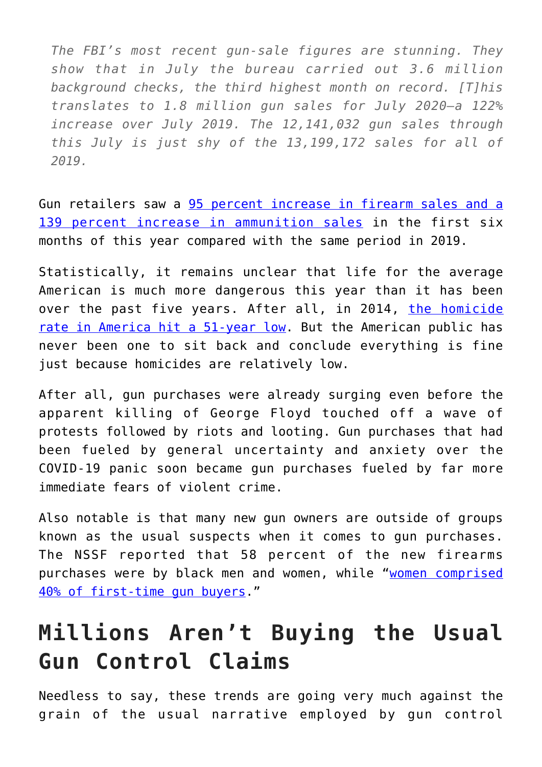*The FBI's most recent gun-sale figures are stunning. They show that in July the bureau carried out 3.6 million background checks, the third highest month on record. [T]his translates to 1.8 million gun sales for July 2020—a 122% increase over July 2019. The 12,141,032 gun sales through this July is just shy of the 13,199,172 sales for all of 2019.*

Gun retailers saw a [95 percent increase in firearm sales and a](https://d3aya7xwz8momx.cloudfront.net/wp-content/uploads/2020/07/InfographicCustomerDemosJuly2020.pdf) [139 percent increase in ammunition sales](https://d3aya7xwz8momx.cloudfront.net/wp-content/uploads/2020/07/InfographicCustomerDemosJuly2020.pdf) in the first six months of this year compared with the same period in 2019.

Statistically, it remains unclear that life for the average American is much more dangerous this year than it has been over the past five years. After all, in 2014, [the homicide](https://mises.org/wire/fbi-us-homicide-rate-51-year-low) [rate in America hit a 51-year low](https://mises.org/wire/fbi-us-homicide-rate-51-year-low). But the American public has never been one to sit back and conclude everything is fine just because homicides are relatively low.

After all, gun purchases were already surging even before the apparent killing of George Floyd touched off a wave of protests followed by riots and looting. Gun purchases that had been fueled by general uncertainty and anxiety over the COVID-19 panic soon became gun purchases fueled by far more immediate fears of violent crime.

Also notable is that many new gun owners are outside of groups known as the usual suspects when it comes to gun purchases. The NSSF reported that 58 percent of the new firearms purchases were by black men and women, while "[women comprised](https://www.washingtonexaminer.com/washington-secrets/boom-five-million-new-gun-owners-58-black-40-women) [40% of first-time gun buyers](https://www.washingtonexaminer.com/washington-secrets/boom-five-million-new-gun-owners-58-black-40-women)."

## **Millions Aren't Buying the Usual Gun Control Claims**

Needless to say, these trends are going very much against the grain of the usual narrative employed by gun control